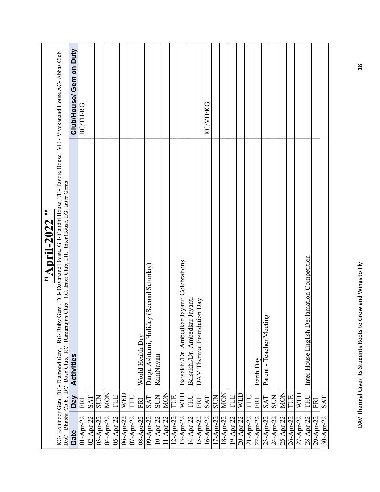|                |            | "April-2022 "                                                                                                                                                                                                                                    |                         |
|----------------|------------|--------------------------------------------------------------------------------------------------------------------------------------------------------------------------------------------------------------------------------------------------|-------------------------|
|                |            | KG-Kohinoor Gem, DG-Diamond Gem, RG-Ruby Gem, DH-Dayanand House, GH-Gandhi House, TH-Tagore House, VH - Vivekanand House AC-Abhas Club,<br>BhC - Bhabha Club, BC-Bose Club, RC-Ramanujan Club I.C.-Inter Club, I.H.-Inter House, I.G.-Inter Gems |                         |
| Date           | <b>Ved</b> | <b>Activities</b>                                                                                                                                                                                                                                | Club/House/ Gem on Duty |
| $01-Apr-22$    | FRI        |                                                                                                                                                                                                                                                  | <b>BC/TH/RG</b>         |
| 02-Apr-22      | <b>SAT</b> |                                                                                                                                                                                                                                                  |                         |
| $03 - Appr-22$ | <b>SUN</b> |                                                                                                                                                                                                                                                  |                         |
| 04-Apr-22      | <b>MON</b> |                                                                                                                                                                                                                                                  |                         |
| 05-Apr-22      | TUE        |                                                                                                                                                                                                                                                  |                         |
| 06-Apr-22      | WED        |                                                                                                                                                                                                                                                  |                         |
| 07-Apr-22      | THU        |                                                                                                                                                                                                                                                  |                         |
| 08-Apr-22      | FRI        | World Health Day                                                                                                                                                                                                                                 |                         |
| 09-Apr-22      | SAT        | Durga Ashtami, Holiday (Second Saturday)                                                                                                                                                                                                         |                         |
| 10-Apr-22      | <b>SUN</b> | RamNavmi                                                                                                                                                                                                                                         |                         |
| $11-Apr-22$    | MON        |                                                                                                                                                                                                                                                  |                         |
| $12-Apr-22$    | TUE        |                                                                                                                                                                                                                                                  |                         |
| 13-Apr-22      | <b>WED</b> | Baisakhi/Dr. Ambedkar Jayanti Celebrations                                                                                                                                                                                                       |                         |
| 14-Apr-22      | THU        | Baisakhi/Dr. Ambedkar Jayanti                                                                                                                                                                                                                    |                         |
| 15-Apr-22      | FRI        | DAV Thermal Foundation Day                                                                                                                                                                                                                       |                         |
| 16-Apr-22      | <b>SAT</b> |                                                                                                                                                                                                                                                  | RC/VH/KG                |
| $17-Apr-22$    | <b>SUN</b> |                                                                                                                                                                                                                                                  |                         |
| 18-Apr-22      | <b>MON</b> |                                                                                                                                                                                                                                                  |                         |
| 19-Apr-22      | TUE        |                                                                                                                                                                                                                                                  |                         |
| 20-Apr-22      | WED        |                                                                                                                                                                                                                                                  |                         |
|                |            |                                                                                                                                                                                                                                                  |                         |
| 21-Apr-22      | <b>THU</b> |                                                                                                                                                                                                                                                  |                         |
| 22-Apr-22      | FRI        | Earth Day                                                                                                                                                                                                                                        |                         |
| 23-Apr-22      | <b>SAT</b> | Parent - Teacher Meeting                                                                                                                                                                                                                         |                         |
| 24-Apr-22      | <b>SUN</b> |                                                                                                                                                                                                                                                  |                         |
| 25-Apr-22      | <b>MON</b> |                                                                                                                                                                                                                                                  |                         |
| 26-Apr-22      | TUE        |                                                                                                                                                                                                                                                  |                         |
| 27-Apr-22      | <b>WED</b> |                                                                                                                                                                                                                                                  |                         |
| 28-Apr-22      | LHL        | Inter House English Declamation Competition                                                                                                                                                                                                      |                         |
| 29-Apr-22      | FRI        |                                                                                                                                                                                                                                                  |                         |
|                |            |                                                                                                                                                                                                                                                  |                         |
| 30-Apr-22      | <b>SAT</b> |                                                                                                                                                                                                                                                  |                         |
|                |            |                                                                                                                                                                                                                                                  |                         |
|                |            |                                                                                                                                                                                                                                                  |                         |
|                |            | DAV Thermal Gives its Students Roots to Grow and Wings to Fly                                                                                                                                                                                    | 18                      |
|                |            |                                                                                                                                                                                                                                                  |                         |
|                |            |                                                                                                                                                                                                                                                  |                         |
|                |            |                                                                                                                                                                                                                                                  |                         |
|                |            |                                                                                                                                                                                                                                                  |                         |
|                |            |                                                                                                                                                                                                                                                  |                         |
|                |            |                                                                                                                                                                                                                                                  |                         |
|                |            |                                                                                                                                                                                                                                                  |                         |
|                |            |                                                                                                                                                                                                                                                  |                         |
|                |            |                                                                                                                                                                                                                                                  |                         |
|                |            |                                                                                                                                                                                                                                                  |                         |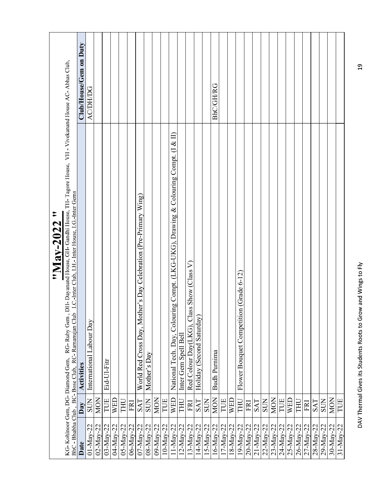|                 | $\tilde{\phantom{a}}$<br>"Nay-2022                                                                                                                                                                                                                         |                        |
|-----------------|------------------------------------------------------------------------------------------------------------------------------------------------------------------------------------------------------------------------------------------------------------|------------------------|
|                 | DH-Dayanand House, GH-Gandhi House, TH-Tagore House, VH - Vivekanand House AC-Abhas Club,<br>I.C.-Inter Club, I.H.- Inter House, I.G.-Inter Gems<br>BhC - Bhabha Club, BC-Bose Club, RC-Ramanujan Club<br>RG-Ruby Gem,<br>KG-Kohinoor Gem, DG-Diamond Gem, |                        |
| Date            | Activities<br>Day                                                                                                                                                                                                                                          | Club/House/Gem on Duty |
| $01-May-22$     | International Labour Day<br><b>SUN</b>                                                                                                                                                                                                                     | <b>AC/DH/DG</b>        |
| $02 - May - 22$ | <b>MON</b>                                                                                                                                                                                                                                                 |                        |
| 03-May-22       | Eid-Ul-Fitr<br>TUE                                                                                                                                                                                                                                         |                        |
| 04-May-22       | WED                                                                                                                                                                                                                                                        |                        |
| 05-May-22       | THU                                                                                                                                                                                                                                                        |                        |
| 06-May-22       | FRI                                                                                                                                                                                                                                                        |                        |
| $07 - May - 22$ | World Red Cross Day, Mother's Day Celebration (Pre-Primary Wing)<br>SAT                                                                                                                                                                                    |                        |
| 08-May-22       | Mother's Day<br><b>SUN</b>                                                                                                                                                                                                                                 |                        |
| 09-May-22       | <b>MON</b>                                                                                                                                                                                                                                                 |                        |
| 10-May-22       | TUE                                                                                                                                                                                                                                                        |                        |
| $11-May-22$     | National Tech. Day, Colouring Compt. (LKG-UKG), Drawing & Colouring Compt. (1 & II)<br>WED                                                                                                                                                                 |                        |
| $12$ -May-22    | Inter Gem Spell Bell<br>THU                                                                                                                                                                                                                                |                        |
| $13-May-22$     | Red Colour Day(LKG), Class Show (Class V)<br>FRI                                                                                                                                                                                                           |                        |
| 14-May-22       | Holiday (Second Saturday)<br>SAT                                                                                                                                                                                                                           |                        |
| $15$ -May-22    | <b>SUN</b>                                                                                                                                                                                                                                                 |                        |
| $16$ -May-22    | <b>Budh Purnima</b><br><b>MON</b>                                                                                                                                                                                                                          | BhC/GH/RG              |
| $17-May-22$     | TUE                                                                                                                                                                                                                                                        |                        |
| $18 - May - 22$ | <b>WED</b>                                                                                                                                                                                                                                                 |                        |
| 19-May-22       | Flower Bouquet Competition (Grade 6-12)<br>THU                                                                                                                                                                                                             |                        |
| 20-May-22       | FRI                                                                                                                                                                                                                                                        |                        |
| 21-May-22       | SAT                                                                                                                                                                                                                                                        |                        |
|                 |                                                                                                                                                                                                                                                            |                        |
| 22-May-22       | <b>SUN</b>                                                                                                                                                                                                                                                 |                        |
| 23-May-22       | <b>MON</b>                                                                                                                                                                                                                                                 |                        |
| $24 - May - 22$ | TUE                                                                                                                                                                                                                                                        |                        |
| 25-May-22       | WED                                                                                                                                                                                                                                                        |                        |
| 26-May-22       | <b>THU</b>                                                                                                                                                                                                                                                 |                        |
| 27-May-22       | FRI                                                                                                                                                                                                                                                        |                        |
| 28-May-22       | SAT                                                                                                                                                                                                                                                        |                        |
| 29-May-22       | SUN                                                                                                                                                                                                                                                        |                        |
| 30-May-22       | MON                                                                                                                                                                                                                                                        |                        |
| 31-May-22       | TUE                                                                                                                                                                                                                                                        |                        |
|                 |                                                                                                                                                                                                                                                            |                        |
|                 | DAV Thermal Gives its Students Roots to Grow and Wings to Fly                                                                                                                                                                                              | $\overline{c}$         |
|                 |                                                                                                                                                                                                                                                            |                        |
|                 |                                                                                                                                                                                                                                                            |                        |
|                 |                                                                                                                                                                                                                                                            |                        |
|                 |                                                                                                                                                                                                                                                            |                        |
|                 |                                                                                                                                                                                                                                                            |                        |
|                 |                                                                                                                                                                                                                                                            |                        |
|                 |                                                                                                                                                                                                                                                            |                        |
|                 |                                                                                                                                                                                                                                                            |                        |
|                 |                                                                                                                                                                                                                                                            |                        |
|                 |                                                                                                                                                                                                                                                            |                        |
|                 |                                                                                                                                                                                                                                                            |                        |
|                 |                                                                                                                                                                                                                                                            |                        |
|                 |                                                                                                                                                                                                                                                            |                        |
|                 |                                                                                                                                                                                                                                                            |                        |
|                 |                                                                                                                                                                                                                                                            |                        |
|                 |                                                                                                                                                                                                                                                            |                        |
|                 |                                                                                                                                                                                                                                                            |                        |
|                 |                                                                                                                                                                                                                                                            |                        |
|                 |                                                                                                                                                                                                                                                            |                        |
|                 |                                                                                                                                                                                                                                                            |                        |
|                 |                                                                                                                                                                                                                                                            |                        |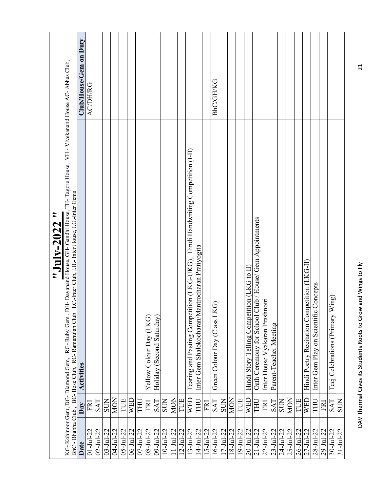| KG-Kohinoor Gem, DG-Diamond Gem, |            | RG-Ruby Gem, DH-Dayanand House, GH-Gandhi House, TH-Tagore House, VH - Vivekanand House AC-Abhas Club,<br>$\tilde{\phantom{a}}$<br>"July-2022 |                        |
|----------------------------------|------------|-----------------------------------------------------------------------------------------------------------------------------------------------|------------------------|
|                                  |            | I.C.-Inter Club, I.H.-Inter House, I.G.-Inter Gems<br>BhC - Bhabha Club, BC-Bose Club, RC-Ramanujan Club                                      |                        |
| Date                             | Day        | <b>Activities</b>                                                                                                                             | Club/House/Gem on Duty |
| $01 - JuI - 22$                  | FRI        |                                                                                                                                               | <b>ACDHRG</b>          |
| $02 - JuI - 22$                  | <b>SAT</b> |                                                                                                                                               |                        |
| $03 - Ju1 - 22$                  | <b>SUN</b> |                                                                                                                                               |                        |
| 04-Jul-22                        | <b>MON</b> |                                                                                                                                               |                        |
| $05 - Ju1 - 22$                  | TUE        |                                                                                                                                               |                        |
| $06 - Ju1 - 22$                  | <b>WED</b> |                                                                                                                                               |                        |
| $07 - Ju1 - 22$                  | LHÚ        |                                                                                                                                               |                        |
| $08 - Ju1 - 22$                  | FRI        | Yellow Colour Day (LKG)                                                                                                                       |                        |
| $09 - Ju1 - 22$                  | <b>SAT</b> | Holiday (Second Saturday)                                                                                                                     |                        |
| $10 - Ju - 22$                   | <b>SUN</b> |                                                                                                                                               |                        |
| $11-Ju1-22$                      | MON        |                                                                                                                                               |                        |
| $12 - Ju - 22$                   | TUE        |                                                                                                                                               |                        |
| $13 - Ju1 - 22$                  | WED        | Tearing and Pasting Competition (LKG-UKG), Hindi Handwriting Competition (I-II)                                                               |                        |
| $14 - Jul - 22$                  | THU        | Inter Gem Shalokocharan/Mantrocharan Pratiyogita                                                                                              |                        |
| $15 - Ju1 - 22$                  | FRI        |                                                                                                                                               |                        |
| $16 - Ju - 22$                   | SAT        | Green Colour Day (Class LKG)                                                                                                                  | BhC/GH/KG              |
| $17 - Ju1 - 22$                  | <b>SUN</b> |                                                                                                                                               |                        |
| $18 - Ju1 - 22$                  | <b>MON</b> |                                                                                                                                               |                        |
| 19-Jul-22                        | TUE        |                                                                                                                                               |                        |
| $20 - Ju - 22$                   | <b>WED</b> | Hindi Story Telling Competition (LKG to II)                                                                                                   |                        |
| $21 - Ju1 - 22$                  | THU        | House/ Gem Appointments<br>Oath Ceremony for School Club                                                                                      |                        |
| 22-Jul-22                        | FRI        | Inter House Vyakaran Prashnotri                                                                                                               |                        |
| $23 - Ju1 - 22$                  | SAT        | Parent-Teacher Meeting                                                                                                                        |                        |
| 24-Jul-22                        | <b>SUN</b> |                                                                                                                                               |                        |
| $25 - Ju1 - 22$                  | <b>MON</b> |                                                                                                                                               |                        |
| $26 - Ju1 - 22$                  | TUE        |                                                                                                                                               |                        |
| $27 - Ju1 - 22$                  | WED        | Hindi Poetry Recitation Competition (LKG-II)                                                                                                  |                        |
| $28 - Ju1 - 22$                  | THU        | Inter Gem Play on Scientific Concepts                                                                                                         |                        |
| 29-Jul-22                        | FRI        |                                                                                                                                               |                        |
| $30 - Ju - 22$                   | <b>SAT</b> | Teej Celebrations (Primary Wing)                                                                                                              |                        |
| $31 - Ju1 - 22$                  | <b>SUN</b> |                                                                                                                                               |                        |
|                                  |            | DAV Thermal Gives its Students Roots to Grow and Wings to Fly                                                                                 | $\overline{c}$         |
|                                  |            |                                                                                                                                               |                        |
|                                  |            |                                                                                                                                               |                        |
|                                  |            |                                                                                                                                               |                        |
|                                  |            |                                                                                                                                               |                        |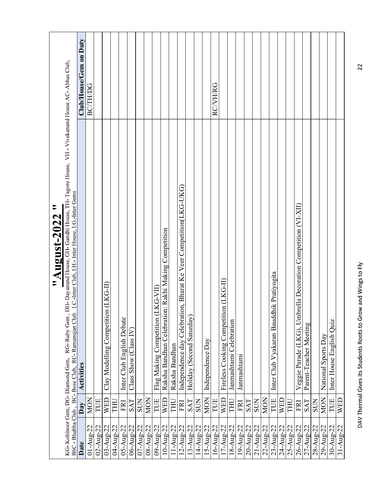|                                                       |            | $\tilde{\phantom{a}}$<br>August-2022<br>$\ddot{\bullet}$                                                                                                                                        |                        |
|-------------------------------------------------------|------------|-------------------------------------------------------------------------------------------------------------------------------------------------------------------------------------------------|------------------------|
| KG-Kohinoor Gem, DG-Diamond Gem,<br>BhC - Bhabha Club |            | RG-Ruby Gem, DH-Dayanand House, GH-Gandhi House, TH-Tagore House, VH - Vivekanand House AC-Abhas Club,<br>I.C. Inter Club, I.H. Inter House, I.G. Inter Gems<br>BC-Bose Club, RC-Ramanujan Club |                        |
| Date                                                  | Day        | <b>Activities</b>                                                                                                                                                                               | Club/House/Gem on Duty |
| $01 - Aug - 22$                                       | MON        |                                                                                                                                                                                                 | <b>BC/TH/DG</b>        |
| $02 - Aug-22$                                         | TUE        |                                                                                                                                                                                                 |                        |
| $03 - Aug - 22$                                       | <b>WED</b> | Clay Modelling Competition (LKG-II)                                                                                                                                                             |                        |
| 04-Aug-22                                             | THU        |                                                                                                                                                                                                 |                        |
| $05 - Aug - 22$                                       | FRI        | Inter Club English Debate                                                                                                                                                                       |                        |
| 06-Aug-22                                             | <b>SAT</b> | Class Show (Class IV)                                                                                                                                                                           |                        |
| $07 - Aug - 22$                                       | <b>SUN</b> |                                                                                                                                                                                                 |                        |
| 08-Aug-22                                             | <b>MON</b> |                                                                                                                                                                                                 |                        |
| 09-Aug-22                                             | TUE        | KG-VII)<br>Flag Making Competition (L                                                                                                                                                           |                        |
| 10-Aug-22                                             | WED        | Raksha Bandhan Celebration: Rakhi Making Competition                                                                                                                                            |                        |
| 11-Aug-22                                             | THU        | Raksha Bandhan                                                                                                                                                                                  |                        |
| 12-Aug-22                                             | FRI        | Independence day Celebration, Bharat Ke Veer Competition(LKG-UKG)                                                                                                                               |                        |
| 13-Aug-22                                             | <b>SAT</b> | Holiday (Second Saturday)                                                                                                                                                                       |                        |
| 14-Aug-22                                             | <b>SUN</b> |                                                                                                                                                                                                 |                        |
| 15-Aug-22                                             | <b>MON</b> | Independence Day                                                                                                                                                                                |                        |
| $16 - Aug - 22$                                       | TUE        |                                                                                                                                                                                                 | RCVH/RG                |
| $17 - \text{Aug-22}$                                  | WED        | Fireless Cooking Competition (LKG-II)                                                                                                                                                           |                        |
| 18-Aug-22                                             | THU        | Janmashtami Celebration                                                                                                                                                                         |                        |
| 19-Aug-22                                             | FRI        | Janmashtami                                                                                                                                                                                     |                        |
| 20-Aug-22                                             | SAT        |                                                                                                                                                                                                 |                        |
| $21 - \text{Aug} - 22$                                | <b>SUN</b> |                                                                                                                                                                                                 |                        |
| $22 - Aug - 22$                                       | MON        |                                                                                                                                                                                                 |                        |
| $23 - Aug - 22$                                       | TUE        | Inter Club Vyakaran Bauddhik Pratiyogita                                                                                                                                                        |                        |
| 24-Aug-22                                             | <b>WED</b> |                                                                                                                                                                                                 |                        |
| 25-Aug-22                                             | THU        |                                                                                                                                                                                                 |                        |
| 26-Aug-22                                             | FRI        | Veggie Parade (LKG), Umbrella Decoration Competition (VI-XII)                                                                                                                                   |                        |
| $27 - Aug - 22$                                       | <b>SAT</b> | Parent-Teacher Meeting                                                                                                                                                                          |                        |
| $28 - Aug - 22$                                       | <b>NOS</b> |                                                                                                                                                                                                 |                        |
| 29-Aug-22                                             | <b>MON</b> | National Sports Day                                                                                                                                                                             |                        |
| $30 - Aug - 22$                                       | TUE        | Inter House English Quiz                                                                                                                                                                        |                        |
| $31-Aug-22$                                           | WED        |                                                                                                                                                                                                 |                        |
|                                                       |            |                                                                                                                                                                                                 |                        |
|                                                       |            | DAV Thermal Gives its Students Roots to Grow and Wings to Fly                                                                                                                                   | 22                     |
|                                                       |            |                                                                                                                                                                                                 |                        |
|                                                       |            |                                                                                                                                                                                                 |                        |
|                                                       |            |                                                                                                                                                                                                 |                        |
|                                                       |            |                                                                                                                                                                                                 |                        |
|                                                       |            |                                                                                                                                                                                                 |                        |
|                                                       |            |                                                                                                                                                                                                 |                        |
|                                                       |            |                                                                                                                                                                                                 |                        |
|                                                       |            |                                                                                                                                                                                                 |                        |
|                                                       |            |                                                                                                                                                                                                 |                        |
|                                                       |            |                                                                                                                                                                                                 |                        |
|                                                       |            |                                                                                                                                                                                                 |                        |
|                                                       |            |                                                                                                                                                                                                 |                        |
|                                                       |            |                                                                                                                                                                                                 |                        |
|                                                       |            |                                                                                                                                                                                                 |                        |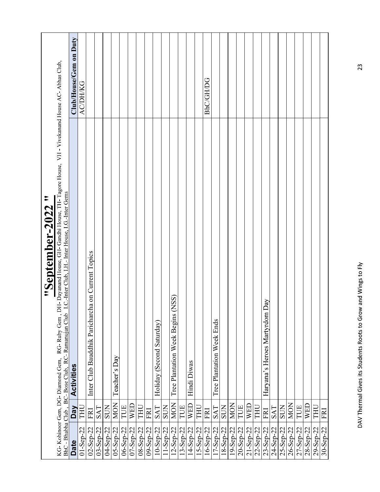| KG-Kohinoor Gem, DG-Diamond Gem,   | DH- Dayanand House, GH- Gandhi House, TH- Tagore House, VH - Vivekanand House AC- Abhas Club, I.C.-Inter Club, I.H. Inter House, I.G.-Inter Gems<br>"September-2022 "<br>RG-Ruby Gem |                        |
|------------------------------------|--------------------------------------------------------------------------------------------------------------------------------------------------------------------------------------|------------------------|
| <b>Day</b><br><b>Date</b>          | BhC - Bhabha Club, BC-Bose Club, RC-Ramanujan Club<br>Activities                                                                                                                     | Club/House/Gem on Duty |
| THU<br>$01 -$ Sep-22               |                                                                                                                                                                                      | <b>ACDHKG</b>          |
| FRI<br>$02 - Sep-22$               | Inter Club Bauddhik Paricharcha on Current Topics                                                                                                                                    |                        |
| <b>SAT</b><br>$03 - \text{Sep-22}$ |                                                                                                                                                                                      |                        |
| SUN<br>04-Sep-22                   |                                                                                                                                                                                      |                        |
| <b>MON</b><br>$05 - Sep - 22$      | Teacher's Day                                                                                                                                                                        |                        |
| TUE<br>06-Sep-22                   |                                                                                                                                                                                      |                        |
| WED<br>07-Sep-22                   |                                                                                                                                                                                      |                        |
| THU<br>08-Sep-22                   |                                                                                                                                                                                      |                        |
| FRI<br>09-Sep-22                   |                                                                                                                                                                                      |                        |
| <b>SAT</b><br>10-Sep-22            | Holiday (Second Saturday)                                                                                                                                                            |                        |
| <b>SUN</b><br>11-Sep-22            |                                                                                                                                                                                      |                        |
| <b>MON</b><br>12-Sep-22            | (NSS)<br>Tree Plantation Week Begins                                                                                                                                                 |                        |
| TUE<br>13-Sep-22                   |                                                                                                                                                                                      |                        |
| WED<br>14-Sep-22                   | Hindi Diwas                                                                                                                                                                          |                        |
| <b>THU</b><br>15-Sep-22            |                                                                                                                                                                                      |                        |
| FRI<br>16-Sep-22                   |                                                                                                                                                                                      | <b>BhC/GH/DG</b>       |
| <b>SAT</b><br>$17 - \text{Sep-22}$ | Tree Plantation Week Ends                                                                                                                                                            |                        |
| <b>SUN</b><br>18-Sep-22            |                                                                                                                                                                                      |                        |
| MON<br>19-Sep-22                   |                                                                                                                                                                                      |                        |
| TUE<br>$20 -$ Sep-22               |                                                                                                                                                                                      |                        |
| WED<br>21-Sep-22                   |                                                                                                                                                                                      |                        |
| THU<br>22-Sep-22                   |                                                                                                                                                                                      |                        |
| FRI<br>23-Sep-22                   | Day<br>Haryana's Heroes Martyrdom                                                                                                                                                    |                        |
| SAT<br>24-Sep-22                   |                                                                                                                                                                                      |                        |
| <b>SUN</b><br>25-Sep-22            |                                                                                                                                                                                      |                        |
| MON<br>26-Sep-22                   |                                                                                                                                                                                      |                        |
| TUE<br>27-Sep-22                   |                                                                                                                                                                                      |                        |
| WED                                |                                                                                                                                                                                      |                        |
| 28-Sep-22                          |                                                                                                                                                                                      |                        |
| THU<br>29-Sep-22                   |                                                                                                                                                                                      |                        |
| FRI<br>$30 - Sep-22$               |                                                                                                                                                                                      |                        |
|                                    |                                                                                                                                                                                      |                        |
|                                    |                                                                                                                                                                                      |                        |
|                                    | DAV Thermal Gives its Students Roots to Grow and Wings to Fly                                                                                                                        | 23                     |
|                                    |                                                                                                                                                                                      |                        |
|                                    |                                                                                                                                                                                      |                        |
|                                    |                                                                                                                                                                                      |                        |
|                                    |                                                                                                                                                                                      |                        |
|                                    |                                                                                                                                                                                      |                        |
|                                    |                                                                                                                                                                                      |                        |
|                                    |                                                                                                                                                                                      |                        |
|                                    |                                                                                                                                                                                      |                        |
|                                    |                                                                                                                                                                                      |                        |
|                                    |                                                                                                                                                                                      |                        |
|                                    |                                                                                                                                                                                      |                        |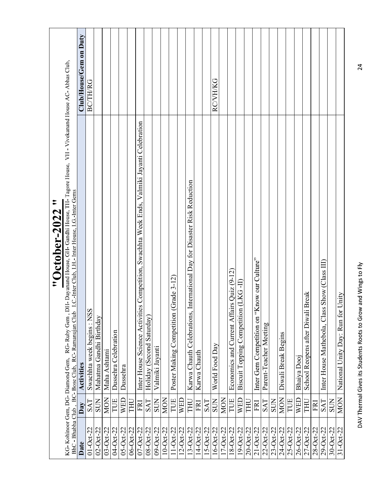| $03 - Oct-22$<br>06-Oct-22<br>09-Oct-22<br>$10 - Oct-22$<br>$16-0$ ct-22<br>$17 - Oct-22$<br>$20 - Oct-22$<br>$21 - Oct-22$<br>$01 - Oct-22$<br>04-Oct-22<br>$05 - Oct-22$<br>$07 - Oct-22$<br>$11-0$ ct-22<br>$14-0$ ct-22<br>$15 - Oct-22$<br>$18 - Oct-22$<br>19-Oct-22<br>$22 - Oct-22$<br>$23 - Oct-22$<br>$25-0ct-22$<br>26-Oct-22<br>$27 - Oct-22$<br>28-Oct-22<br>$29-Oct-22$<br>$02 - Oct-22$<br>$08 - Oct-22$<br>$12 - Oct-22$<br>$13-Oct-22$<br>24-Oct-22<br>Date | $\tilde{\phantom{a}}$<br>"October-2022"                                                                                                                                                                                                                 |                        |
|------------------------------------------------------------------------------------------------------------------------------------------------------------------------------------------------------------------------------------------------------------------------------------------------------------------------------------------------------------------------------------------------------------------------------------------------------------------------------|---------------------------------------------------------------------------------------------------------------------------------------------------------------------------------------------------------------------------------------------------------|------------------------|
|                                                                                                                                                                                                                                                                                                                                                                                                                                                                              |                                                                                                                                                                                                                                                         |                        |
|                                                                                                                                                                                                                                                                                                                                                                                                                                                                              | RG-Ruby Gem, DH-Dayanand House, GH-Gandhi House, TH-Tagore House, VH - Vivekanand House AC-Abhas Club,<br>I.C.-Inter Club, I.H.- Inter House, I.G.-Inter Gems<br>BhC - Bhabha Club, BC-Bose Club, RC-Ramanujan Club<br>KG-Kohinoor Gem, DG-Diamond Gem, |                        |
|                                                                                                                                                                                                                                                                                                                                                                                                                                                                              | <b>Activities</b><br>Day                                                                                                                                                                                                                                | Club/House/Gem on Duty |
|                                                                                                                                                                                                                                                                                                                                                                                                                                                                              | Swachhta week begins: NSS<br><b>SAT</b>                                                                                                                                                                                                                 | <b>BC/TH/RG</b>        |
|                                                                                                                                                                                                                                                                                                                                                                                                                                                                              | Mahatma Gandhi Birthday<br><b>SUN</b>                                                                                                                                                                                                                   |                        |
|                                                                                                                                                                                                                                                                                                                                                                                                                                                                              | Maha Ashtami<br><b>MON</b>                                                                                                                                                                                                                              |                        |
|                                                                                                                                                                                                                                                                                                                                                                                                                                                                              | Dussehra Celebration<br>TUE                                                                                                                                                                                                                             |                        |
|                                                                                                                                                                                                                                                                                                                                                                                                                                                                              | Dussehra<br>WED                                                                                                                                                                                                                                         |                        |
|                                                                                                                                                                                                                                                                                                                                                                                                                                                                              | THU                                                                                                                                                                                                                                                     |                        |
|                                                                                                                                                                                                                                                                                                                                                                                                                                                                              | Inter House Science Activities Competition, Swachhta Week Ends, Valmiki Jayanti Celebration<br>FRI                                                                                                                                                      |                        |
|                                                                                                                                                                                                                                                                                                                                                                                                                                                                              | Holiday (Second Saturday)<br>SAT                                                                                                                                                                                                                        |                        |
|                                                                                                                                                                                                                                                                                                                                                                                                                                                                              | Valmiki Jayanti<br><b>SUN</b>                                                                                                                                                                                                                           |                        |
|                                                                                                                                                                                                                                                                                                                                                                                                                                                                              | MON                                                                                                                                                                                                                                                     |                        |
|                                                                                                                                                                                                                                                                                                                                                                                                                                                                              | Poster Making Competition (Grade 3-12)<br>TUE                                                                                                                                                                                                           |                        |
|                                                                                                                                                                                                                                                                                                                                                                                                                                                                              | <b>WED</b>                                                                                                                                                                                                                                              |                        |
|                                                                                                                                                                                                                                                                                                                                                                                                                                                                              | Karwa Chauth Celebrations, International Day for Disaster Risk Reduction<br>THU                                                                                                                                                                         |                        |
|                                                                                                                                                                                                                                                                                                                                                                                                                                                                              | Karwa Chauth<br>FRI                                                                                                                                                                                                                                     |                        |
|                                                                                                                                                                                                                                                                                                                                                                                                                                                                              | SAT                                                                                                                                                                                                                                                     |                        |
|                                                                                                                                                                                                                                                                                                                                                                                                                                                                              | World Food Day<br><b>SUN</b>                                                                                                                                                                                                                            | RCVH/KG                |
|                                                                                                                                                                                                                                                                                                                                                                                                                                                                              | <b>MON</b>                                                                                                                                                                                                                                              |                        |
|                                                                                                                                                                                                                                                                                                                                                                                                                                                                              | Economics and Current Affairs Quiz (9-12)<br>TUE                                                                                                                                                                                                        |                        |
|                                                                                                                                                                                                                                                                                                                                                                                                                                                                              | Biscuit Topping Competition (LKG-II)<br>WED                                                                                                                                                                                                             |                        |
|                                                                                                                                                                                                                                                                                                                                                                                                                                                                              | THU                                                                                                                                                                                                                                                     |                        |
|                                                                                                                                                                                                                                                                                                                                                                                                                                                                              | Inter Gem Competition on "Know our Culture"<br>FRI                                                                                                                                                                                                      |                        |
|                                                                                                                                                                                                                                                                                                                                                                                                                                                                              | Parent-Teacher Meeting<br><b>SAT</b>                                                                                                                                                                                                                    |                        |
|                                                                                                                                                                                                                                                                                                                                                                                                                                                                              | <b>NOS</b>                                                                                                                                                                                                                                              |                        |
|                                                                                                                                                                                                                                                                                                                                                                                                                                                                              | Diwali Break Begins<br><b>MON</b>                                                                                                                                                                                                                       |                        |
|                                                                                                                                                                                                                                                                                                                                                                                                                                                                              | TUE                                                                                                                                                                                                                                                     |                        |
|                                                                                                                                                                                                                                                                                                                                                                                                                                                                              |                                                                                                                                                                                                                                                         |                        |
|                                                                                                                                                                                                                                                                                                                                                                                                                                                                              | Bhaiya Dooj<br>WED                                                                                                                                                                                                                                      |                        |
|                                                                                                                                                                                                                                                                                                                                                                                                                                                                              | School Reopens after Diwali Break<br>LHL                                                                                                                                                                                                                |                        |
|                                                                                                                                                                                                                                                                                                                                                                                                                                                                              | FRI                                                                                                                                                                                                                                                     |                        |
|                                                                                                                                                                                                                                                                                                                                                                                                                                                                              | Show (Class III)<br>Inter House Mathebola, Class<br><b>SAT</b>                                                                                                                                                                                          |                        |
| $30 - Oct-22$                                                                                                                                                                                                                                                                                                                                                                                                                                                                | <b>NOS</b>                                                                                                                                                                                                                                              |                        |
| $31 - Oct-22$                                                                                                                                                                                                                                                                                                                                                                                                                                                                | National Unity Day: Run for Unity<br><b>MON</b>                                                                                                                                                                                                         |                        |
|                                                                                                                                                                                                                                                                                                                                                                                                                                                                              | DAV Thermal Gives its Students Roots to Grow and Wings to Fly                                                                                                                                                                                           | 24                     |
|                                                                                                                                                                                                                                                                                                                                                                                                                                                                              |                                                                                                                                                                                                                                                         |                        |
|                                                                                                                                                                                                                                                                                                                                                                                                                                                                              |                                                                                                                                                                                                                                                         |                        |
|                                                                                                                                                                                                                                                                                                                                                                                                                                                                              |                                                                                                                                                                                                                                                         |                        |
|                                                                                                                                                                                                                                                                                                                                                                                                                                                                              |                                                                                                                                                                                                                                                         |                        |
|                                                                                                                                                                                                                                                                                                                                                                                                                                                                              |                                                                                                                                                                                                                                                         |                        |
|                                                                                                                                                                                                                                                                                                                                                                                                                                                                              |                                                                                                                                                                                                                                                         |                        |
|                                                                                                                                                                                                                                                                                                                                                                                                                                                                              |                                                                                                                                                                                                                                                         |                        |
|                                                                                                                                                                                                                                                                                                                                                                                                                                                                              |                                                                                                                                                                                                                                                         |                        |
|                                                                                                                                                                                                                                                                                                                                                                                                                                                                              |                                                                                                                                                                                                                                                         |                        |
|                                                                                                                                                                                                                                                                                                                                                                                                                                                                              |                                                                                                                                                                                                                                                         |                        |
|                                                                                                                                                                                                                                                                                                                                                                                                                                                                              |                                                                                                                                                                                                                                                         |                        |
|                                                                                                                                                                                                                                                                                                                                                                                                                                                                              |                                                                                                                                                                                                                                                         |                        |
|                                                                                                                                                                                                                                                                                                                                                                                                                                                                              |                                                                                                                                                                                                                                                         |                        |
|                                                                                                                                                                                                                                                                                                                                                                                                                                                                              |                                                                                                                                                                                                                                                         |                        |
|                                                                                                                                                                                                                                                                                                                                                                                                                                                                              |                                                                                                                                                                                                                                                         |                        |
|                                                                                                                                                                                                                                                                                                                                                                                                                                                                              |                                                                                                                                                                                                                                                         |                        |
|                                                                                                                                                                                                                                                                                                                                                                                                                                                                              |                                                                                                                                                                                                                                                         |                        |
|                                                                                                                                                                                                                                                                                                                                                                                                                                                                              |                                                                                                                                                                                                                                                         |                        |
|                                                                                                                                                                                                                                                                                                                                                                                                                                                                              |                                                                                                                                                                                                                                                         |                        |
|                                                                                                                                                                                                                                                                                                                                                                                                                                                                              |                                                                                                                                                                                                                                                         |                        |
|                                                                                                                                                                                                                                                                                                                                                                                                                                                                              |                                                                                                                                                                                                                                                         |                        |
|                                                                                                                                                                                                                                                                                                                                                                                                                                                                              |                                                                                                                                                                                                                                                         |                        |
|                                                                                                                                                                                                                                                                                                                                                                                                                                                                              |                                                                                                                                                                                                                                                         |                        |
|                                                                                                                                                                                                                                                                                                                                                                                                                                                                              |                                                                                                                                                                                                                                                         |                        |
|                                                                                                                                                                                                                                                                                                                                                                                                                                                                              |                                                                                                                                                                                                                                                         |                        |
|                                                                                                                                                                                                                                                                                                                                                                                                                                                                              |                                                                                                                                                                                                                                                         |                        |
|                                                                                                                                                                                                                                                                                                                                                                                                                                                                              |                                                                                                                                                                                                                                                         |                        |
|                                                                                                                                                                                                                                                                                                                                                                                                                                                                              |                                                                                                                                                                                                                                                         |                        |
|                                                                                                                                                                                                                                                                                                                                                                                                                                                                              |                                                                                                                                                                                                                                                         |                        |
|                                                                                                                                                                                                                                                                                                                                                                                                                                                                              |                                                                                                                                                                                                                                                         |                        |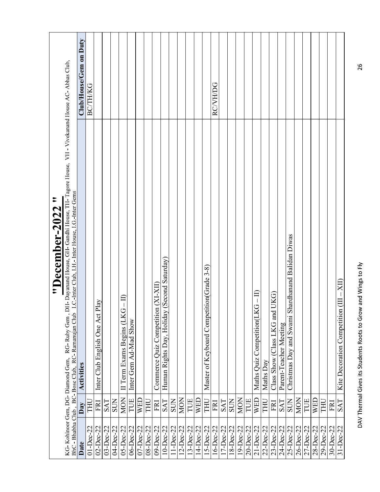|                 | $\tilde{\phantom{a}}$<br>"December-2022                                                                                                                                                                                                                  |                        |
|-----------------|----------------------------------------------------------------------------------------------------------------------------------------------------------------------------------------------------------------------------------------------------------|------------------------|
|                 | DH- Dayanand House, GH- Gandhi House, TH- Tagore House, VH - Vivekanand House AC- Abhas Club,<br>I.C.-Inter Club, I.H.- Inter House, I.G.-Inter Gems<br>KG-Kohinoor Gem, DG-Diamond Gem, RG-Ruby Gem, BhC - Bhabha Club, BC-Bose Club, RC-Ramanujan Club |                        |
| Date            | <b>Activities</b><br>Day                                                                                                                                                                                                                                 | Club/House/Gem on Duty |
| $01 - Dec-22$   | THU                                                                                                                                                                                                                                                      | <b>BC/TH/KG</b>        |
| $02$ -Dec-22    | Play<br>Inter Club English One Act<br>FRI                                                                                                                                                                                                                |                        |
| $03-Dec-22$     | SAT                                                                                                                                                                                                                                                      |                        |
| 04-Dec-22       | <b>SUN</b>                                                                                                                                                                                                                                               |                        |
| $05-Dec-22$     | II Term Exams Begins (LKG – II)<br>MON                                                                                                                                                                                                                   |                        |
| 06-Dec-22       | Inter Gem Ad-Mad Show<br>TUE                                                                                                                                                                                                                             |                        |
| $07 - Dec - 22$ | <b>WED</b>                                                                                                                                                                                                                                               |                        |
| 08-Dec-22       | THU                                                                                                                                                                                                                                                      |                        |
| 09-Dec-22       | Commerce Quiz Competition (XI-XII)<br>FRI                                                                                                                                                                                                                |                        |
| $10 - Dec-22$   | Human Rights Day, Holiday (Second Saturday)<br>SAT                                                                                                                                                                                                       |                        |
| 11-Dec-22       | <b>SUN</b>                                                                                                                                                                                                                                               |                        |
| 12-Dec-22       | <b>MON</b>                                                                                                                                                                                                                                               |                        |
| 13-Dec-22       | TUE                                                                                                                                                                                                                                                      |                        |
| 14-Dec-22       | WED                                                                                                                                                                                                                                                      |                        |
| 15-Dec-22       | Master of Keyboard Competition(Grade 3-8)<br><b>THU</b>                                                                                                                                                                                                  |                        |
| 16-Dec-22       | FRI                                                                                                                                                                                                                                                      | <b>RCVH/DG</b>         |
| 17-Dec-22       | SAT                                                                                                                                                                                                                                                      |                        |
| 18-Dec-22       | <b>SUN</b>                                                                                                                                                                                                                                               |                        |
| 19-Dec-22       | MON                                                                                                                                                                                                                                                      |                        |
| 20-Dec-22       | TUE                                                                                                                                                                                                                                                      |                        |
| 21-Dec-22       | Maths Quiz Competition(LKG - II)<br>WED                                                                                                                                                                                                                  |                        |
| 22-Dec-22       | Maths Day<br>THU                                                                                                                                                                                                                                         |                        |
| 23-Dec-22       | UKG)<br>Class Show (Class LKG and<br>FRI                                                                                                                                                                                                                 |                        |
| 24-Dec-22       | Parent-Teacher Meeting<br>SAT                                                                                                                                                                                                                            |                        |
| 25-Dec-22       | Christmas Day and Swami Shardhanand Balidan Diwas<br><b>SUN</b>                                                                                                                                                                                          |                        |
| 26-Dec-22       | MON                                                                                                                                                                                                                                                      |                        |
| 27-Dec-22       | TUE                                                                                                                                                                                                                                                      |                        |
|                 |                                                                                                                                                                                                                                                          |                        |
| 28-Dec-22       | <b>WED</b>                                                                                                                                                                                                                                               |                        |
| 29-Dec-22       | THU                                                                                                                                                                                                                                                      |                        |
| $30 - Dec - 22$ | FRI                                                                                                                                                                                                                                                      |                        |
| $31 - Dec-22$   | $-X\Pi$<br>Kite Decoration Competition (III<br>SAT                                                                                                                                                                                                       |                        |
|                 | DAV Thermal Gives its Students Roots to Grow and Wings to Fly                                                                                                                                                                                            | 26                     |
|                 |                                                                                                                                                                                                                                                          |                        |
|                 |                                                                                                                                                                                                                                                          |                        |
|                 |                                                                                                                                                                                                                                                          |                        |
|                 |                                                                                                                                                                                                                                                          |                        |
|                 |                                                                                                                                                                                                                                                          |                        |
|                 |                                                                                                                                                                                                                                                          |                        |
|                 |                                                                                                                                                                                                                                                          |                        |
|                 |                                                                                                                                                                                                                                                          |                        |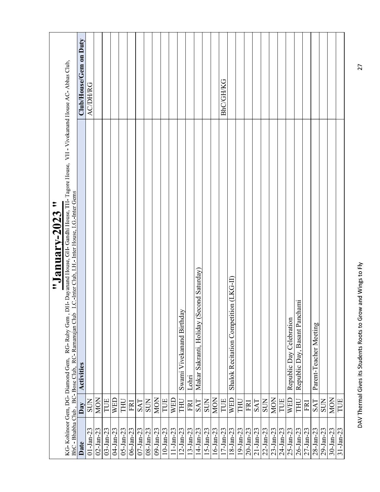|                 |            | $\tilde{\phantom{a}}$<br>"January-2023                                                                                                                                                                                                                        |                        |
|-----------------|------------|---------------------------------------------------------------------------------------------------------------------------------------------------------------------------------------------------------------------------------------------------------------|------------------------|
|                 |            | DH- Dayanand House, GH- Gandhi House, TH- Tagore House, VH - Vivekanand House AC- Abhas Club,<br>I.C.-Inter Club, I.H.- Inter House, I.G.-Inter Gems<br>BhC - Bhabha Club, BC-Bose Club, RC-Ramanujan Club<br>RG-Ruby Gem<br>KG-Kohinoor Gem, DG-Diamond Gem, |                        |
| Date            | Day        | <b>Activities</b>                                                                                                                                                                                                                                             | Club/House/Gem on Duty |
| $01 - Jan - 23$ | <b>NOS</b> |                                                                                                                                                                                                                                                               | <b>ACDH/RG</b>         |
| $02 - Jan - 23$ | <b>MON</b> |                                                                                                                                                                                                                                                               |                        |
| $03 - Jan - 23$ | TUE        |                                                                                                                                                                                                                                                               |                        |
| 04-Jan-23       | WED        |                                                                                                                                                                                                                                                               |                        |
| $05 - Jan - 23$ | THU        |                                                                                                                                                                                                                                                               |                        |
| $06 - Jan - 23$ | <b>FRI</b> |                                                                                                                                                                                                                                                               |                        |
| $07 - Jan - 23$ | SAT        |                                                                                                                                                                                                                                                               |                        |
| $08 - Jan - 23$ | <b>NOS</b> |                                                                                                                                                                                                                                                               |                        |
| $09 - Jan - 23$ | <b>NON</b> |                                                                                                                                                                                                                                                               |                        |
| $10 - Jan - 23$ | TUE        |                                                                                                                                                                                                                                                               |                        |
| $11-Jan-23$     | WED        |                                                                                                                                                                                                                                                               |                        |
| $12 - Jan - 23$ | THU        | Swami Vivekanand Birthday                                                                                                                                                                                                                                     |                        |
| $13 - Jan - 23$ | <b>FRI</b> | Lohri                                                                                                                                                                                                                                                         |                        |
| $14-Jan-23$     | SAT        | Makar Sakranti, Holiday (Second Saturday)                                                                                                                                                                                                                     |                        |
| $15 - Jan - 23$ | <b>SUN</b> |                                                                                                                                                                                                                                                               |                        |
| $16 - Jan - 23$ | <b>MON</b> |                                                                                                                                                                                                                                                               |                        |
| $17 - Jan - 23$ | TUE        |                                                                                                                                                                                                                                                               | <b>BhC/GH/KG</b>       |
| $18 - Jan - 23$ | <b>WED</b> | Shalok Recitation Competition (LKG-II)                                                                                                                                                                                                                        |                        |
| $19 - Jan - 23$ | <b>THU</b> |                                                                                                                                                                                                                                                               |                        |
| $20 - Jan - 23$ | <b>FRI</b> |                                                                                                                                                                                                                                                               |                        |
| $21 - Jan - 23$ | <b>SAT</b> |                                                                                                                                                                                                                                                               |                        |
| $22 - Jan - 23$ | <b>SUN</b> |                                                                                                                                                                                                                                                               |                        |
| $23 - Jan - 23$ | <b>MON</b> |                                                                                                                                                                                                                                                               |                        |
| 24-Jan-23       | TUE        |                                                                                                                                                                                                                                                               |                        |
| $25 - Jan - 23$ |            |                                                                                                                                                                                                                                                               |                        |
|                 | WED        | Republic Day Celebration                                                                                                                                                                                                                                      |                        |
| $26 - Jan - 23$ | <b>THU</b> | Republic Day, Basant Panchami                                                                                                                                                                                                                                 |                        |
| $27 - Jan - 23$ | FRI        |                                                                                                                                                                                                                                                               |                        |
| 28-Jan-23       | <b>SAT</b> | Parent-Teacher Meeting                                                                                                                                                                                                                                        |                        |
| $29 - Jan - 23$ | <b>SUN</b> |                                                                                                                                                                                                                                                               |                        |
| $30 - Jan - 23$ | <b>MON</b> |                                                                                                                                                                                                                                                               |                        |
| $31 - Jan - 23$ | TUE        |                                                                                                                                                                                                                                                               |                        |
|                 |            |                                                                                                                                                                                                                                                               |                        |
|                 |            |                                                                                                                                                                                                                                                               |                        |
|                 |            | DAV Thermal Gives its Students Roots to Grow and Wings to Fly                                                                                                                                                                                                 | 27                     |
|                 |            |                                                                                                                                                                                                                                                               |                        |
|                 |            |                                                                                                                                                                                                                                                               |                        |
|                 |            |                                                                                                                                                                                                                                                               |                        |
|                 |            |                                                                                                                                                                                                                                                               |                        |
|                 |            |                                                                                                                                                                                                                                                               |                        |
|                 |            |                                                                                                                                                                                                                                                               |                        |
|                 |            |                                                                                                                                                                                                                                                               |                        |
|                 |            |                                                                                                                                                                                                                                                               |                        |
|                 |            |                                                                                                                                                                                                                                                               |                        |
|                 |            |                                                                                                                                                                                                                                                               |                        |
|                 |            |                                                                                                                                                                                                                                                               |                        |
|                 |            |                                                                                                                                                                                                                                                               |                        |
|                 |            |                                                                                                                                                                                                                                                               |                        |
|                 |            |                                                                                                                                                                                                                                                               |                        |
|                 |            |                                                                                                                                                                                                                                                               |                        |
|                 |            |                                                                                                                                                                                                                                                               |                        |
|                 |            |                                                                                                                                                                                                                                                               |                        |
|                 |            |                                                                                                                                                                                                                                                               |                        |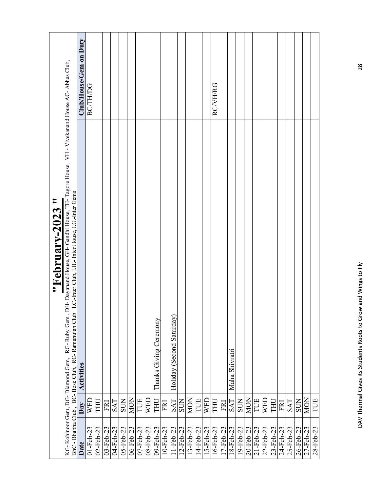|                 |            | "February-2023"                                                                                                                                                                                      |                        |
|-----------------|------------|------------------------------------------------------------------------------------------------------------------------------------------------------------------------------------------------------|------------------------|
|                 |            | DH- Dayanand House, GH- Gandhi House, TH- Tagore House, VH - Vivekanand House AC- Abhas Club,<br>KG-Kohinoor Gem, DG-Diamond Gem, RG-Ruby Gem,<br>BhC - Bhabha Club, BC-Bose Club, RC-Ramanujan Club |                        |
| Date            | Day        | I.C.-Inter Club, I.H.- Inter House, I.G.-Inter Gems<br><b>Activities</b>                                                                                                                             | Club/House/Gem on Duty |
| $01 - Feb - 23$ | WED        |                                                                                                                                                                                                      | <b>BC/TH/DG</b>        |
| $02$ -Feb-23    | LHL        |                                                                                                                                                                                                      |                        |
| 03-Feb-23       | FRI        |                                                                                                                                                                                                      |                        |
| 04-Feb-23       | <b>SAT</b> |                                                                                                                                                                                                      |                        |
| 05-Feb-23       | <b>SUN</b> |                                                                                                                                                                                                      |                        |
| 06-Feb-23       | <b>MON</b> |                                                                                                                                                                                                      |                        |
| $07 - Feb - 23$ | TUE        |                                                                                                                                                                                                      |                        |
| 08-Feb-23       | <b>WED</b> |                                                                                                                                                                                                      |                        |
| 09-Feb-23       | THU        | Thanks Giving Ceremony                                                                                                                                                                               |                        |
| $10-Feb-23$     | <b>FRI</b> |                                                                                                                                                                                                      |                        |
| $11-Feb-23$     | SAT        | Holiday (Second Saturday)                                                                                                                                                                            |                        |
| $12 - Feb - 23$ | <b>SUN</b> |                                                                                                                                                                                                      |                        |
| 13-Feb-23       | <b>MON</b> |                                                                                                                                                                                                      |                        |
| 14-Feb-23       | TUE        |                                                                                                                                                                                                      |                        |
| 15-Feb-23       | WED        |                                                                                                                                                                                                      |                        |
| $16 - Feb - 23$ | THU        |                                                                                                                                                                                                      | <b>RC/VH/RG</b>        |
| 17-Feb-23       | FRI        |                                                                                                                                                                                                      |                        |
| $18$ -Feb-23    | <b>SAT</b> | Maha Shivratri                                                                                                                                                                                       |                        |
| 19-Feb-23       | <b>SUN</b> |                                                                                                                                                                                                      |                        |
| 20-Feb-23       | <b>MON</b> |                                                                                                                                                                                                      |                        |
| $21 - Feb - 23$ | TUE        |                                                                                                                                                                                                      |                        |
| 22-Feb-23       | <b>WED</b> |                                                                                                                                                                                                      |                        |
| 23-Feb-23       | THU        |                                                                                                                                                                                                      |                        |
| 24-Feb-23       | FRI        |                                                                                                                                                                                                      |                        |
| 25-Feb-23       | <b>SAT</b> |                                                                                                                                                                                                      |                        |
| 26-Feb-23       | <b>SUN</b> |                                                                                                                                                                                                      |                        |
| 27-Feb-23       | <b>MON</b> |                                                                                                                                                                                                      |                        |
| 28-Feb-23       | TUE        |                                                                                                                                                                                                      |                        |
|                 |            | DAV Thermal Gives its Students Roots to Grow and Wings to Fly                                                                                                                                        | 28                     |
|                 |            |                                                                                                                                                                                                      |                        |
|                 |            |                                                                                                                                                                                                      |                        |
|                 |            |                                                                                                                                                                                                      |                        |
|                 |            |                                                                                                                                                                                                      |                        |